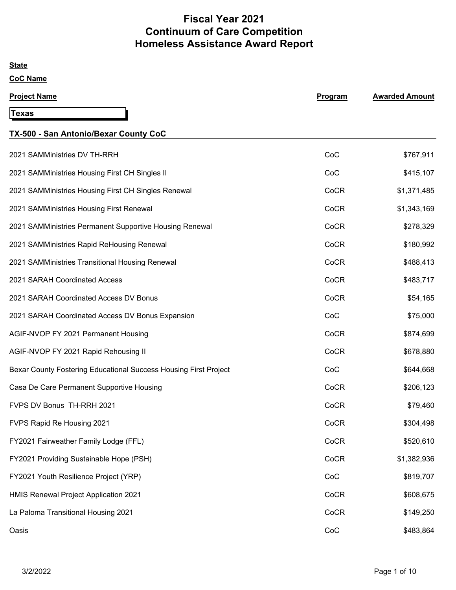# **Fiscal Year 2021 Continuum of Care Competition Homeless Assistance Award Report**

#### **State**

| <b>Project Name</b>                                              | Program | <b>Awarded Amount</b> |
|------------------------------------------------------------------|---------|-----------------------|
| Texas                                                            |         |                       |
| TX-500 - San Antonio/Bexar County CoC                            |         |                       |
| 2021 SAMMinistries DV TH-RRH                                     | CoC     | \$767,911             |
| 2021 SAMMinistries Housing First CH Singles II                   | CoC     | \$415,107             |
| 2021 SAMMinistries Housing First CH Singles Renewal              | CoCR    | \$1,371,485           |
| 2021 SAMMinistries Housing First Renewal                         | CoCR    | \$1,343,169           |
| 2021 SAMMinistries Permanent Supportive Housing Renewal          | CoCR    | \$278,329             |
| 2021 SAMMinistries Rapid ReHousing Renewal                       | CoCR    | \$180,992             |
| 2021 SAMMinistries Transitional Housing Renewal                  | CoCR    | \$488,413             |
| 2021 SARAH Coordinated Access                                    | CoCR    | \$483,717             |
| 2021 SARAH Coordinated Access DV Bonus                           | CoCR    | \$54,165              |
| 2021 SARAH Coordinated Access DV Bonus Expansion                 | CoC     | \$75,000              |
| AGIF-NVOP FY 2021 Permanent Housing                              | CoCR    | \$874,699             |
| AGIF-NVOP FY 2021 Rapid Rehousing II                             | CoCR    | \$678,880             |
| Bexar County Fostering Educational Success Housing First Project | CoC     | \$644,668             |
| Casa De Care Permanent Supportive Housing                        | CoCR    | \$206,123             |
| FVPS DV Bonus TH-RRH 2021                                        | CoCR    | \$79,460              |
| FVPS Rapid Re Housing 2021                                       | CoCR    | \$304,498             |
| FY2021 Fairweather Family Lodge (FFL)                            | CoCR    | \$520,610             |
| FY2021 Providing Sustainable Hope (PSH)                          | CoCR    | \$1,382,936           |
| FY2021 Youth Resilience Project (YRP)                            | CoC     | \$819,707             |
| HMIS Renewal Project Application 2021                            | CoCR    | \$608,675             |
| La Paloma Transitional Housing 2021                              | CoCR    | \$149,250             |
| Oasis                                                            | CoC     | \$483,864             |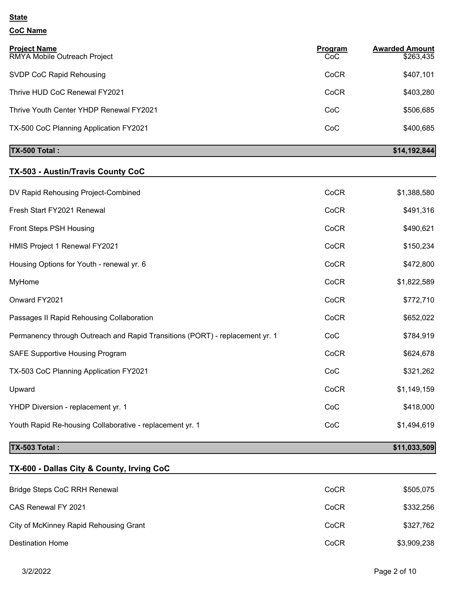## **CoC Name**

| <b>Project Name</b><br>RMYA Mobile Outreach Project | Program<br>CoC | <b>Awarded Amount</b><br>\$263,435 |
|-----------------------------------------------------|----------------|------------------------------------|
| SVDP CoC Rapid Rehousing                            | CoCR           | \$407,101                          |
| Thrive HUD CoC Renewal FY2021                       | CoCR           | \$403,280                          |
| Thrive Youth Center YHDP Renewal FY2021             | CoC            | \$506,685                          |
| TX-500 CoC Planning Application FY2021              | CoC            | \$400,685                          |
| <b>TX-500 Total:</b>                                |                | \$14,192,844                       |

# **TX-503 - Austin/Travis County CoC**

| DV Rapid Rehousing Project-Combined                                          | CoCR | \$1,388,580 |
|------------------------------------------------------------------------------|------|-------------|
| Fresh Start FY2021 Renewal                                                   | CoCR | \$491,316   |
| Front Steps PSH Housing                                                      | CoCR | \$490,621   |
| HMIS Project 1 Renewal FY2021                                                | CoCR | \$150,234   |
| Housing Options for Youth - renewal yr. 6                                    | CoCR | \$472,800   |
| MyHome                                                                       | CoCR | \$1,822,589 |
| Onward FY2021                                                                | CoCR | \$772,710   |
| Passages II Rapid Rehousing Collaboration                                    | CoCR | \$652,022   |
| Permanency through Outreach and Rapid Transitions (PORT) - replacement yr. 1 | CoC  | \$784,919   |
| <b>SAFE Supportive Housing Program</b>                                       | CoCR | \$624,678   |
| TX-503 CoC Planning Application FY2021                                       | CoC  | \$321,262   |
| Upward                                                                       | CoCR | \$1,149,159 |
| YHDP Diversion - replacement yr. 1                                           | CoC  | \$418,000   |
| Youth Rapid Re-housing Collaborative - replacement yr. 1                     | CoC  | \$1,494,619 |
|                                                                              |      |             |

# **TX-503 Total : \$11,033,509**

# **TX-600 - Dallas City & County, Irving CoC**

| Bridge Steps CoC RRH Renewal           | CoCR | \$505,075   |
|----------------------------------------|------|-------------|
| CAS Renewal FY 2021                    | CoCR | \$332,256   |
| City of McKinney Rapid Rehousing Grant | CoCR | \$327,762   |
| Destination Home                       | CoCR | \$3,909,238 |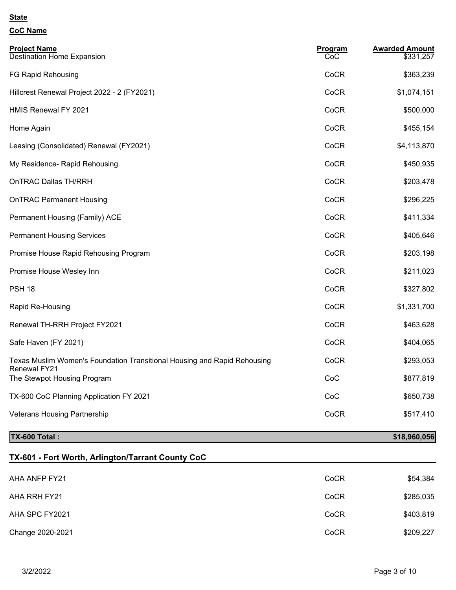## **CoC Name**

| <b>Project Name</b><br><b>Destination Home Expansion</b>                                        | Program<br>CoC | <b>Awarded Amount</b><br>\$331,257 |
|-------------------------------------------------------------------------------------------------|----------------|------------------------------------|
| FG Rapid Rehousing                                                                              | CoCR           | \$363,239                          |
| Hillcrest Renewal Project 2022 - 2 (FY2021)                                                     | CoCR           | \$1,074,151                        |
| HMIS Renewal FY 2021                                                                            | CoCR           | \$500,000                          |
| Home Again                                                                                      | CoCR           | \$455,154                          |
| Leasing (Consolidated) Renewal (FY2021)                                                         | CoCR           | \$4,113,870                        |
| My Residence- Rapid Rehousing                                                                   | CoCR           | \$450,935                          |
| <b>OnTRAC Dallas TH/RRH</b>                                                                     | CoCR           | \$203,478                          |
| <b>OnTRAC Permanent Housing</b>                                                                 | CoCR           | \$296,225                          |
| Permanent Housing (Family) ACE                                                                  | CoCR           | \$411,334                          |
| <b>Permanent Housing Services</b>                                                               | CoCR           | \$405,646                          |
| Promise House Rapid Rehousing Program                                                           | CoCR           | \$203,198                          |
| Promise House Wesley Inn                                                                        | CoCR           | \$211,023                          |
| <b>PSH 18</b>                                                                                   | CoCR           | \$327,802                          |
| Rapid Re-Housing                                                                                | CoCR           | \$1,331,700                        |
| Renewal TH-RRH Project FY2021                                                                   | CoCR           | \$463,628                          |
| Safe Haven (FY 2021)                                                                            | CoCR           | \$404,065                          |
| Texas Muslim Women's Foundation Transitional Housing and Rapid Rehousing<br><b>Renewal FY21</b> | CoCR           | \$293,053                          |
| The Stewpot Housing Program                                                                     | CoC            | \$877,819                          |
| TX-600 CoC Planning Application FY 2021                                                         | CoC            | \$650,738                          |
| <b>Veterans Housing Partnership</b>                                                             | CoCR           | \$517,410                          |

# **TX-600 Total : \$18,960,056**

# **TX-601 - Fort Worth, Arlington/Tarrant County CoC**

| AHA ANFP FY21    | CoCR | \$54,384  |
|------------------|------|-----------|
| AHA RRH FY21     | CoCR | \$285,035 |
| AHA SPC FY2021   | CoCR | \$403,819 |
| Change 2020-2021 | CoCR | \$209,227 |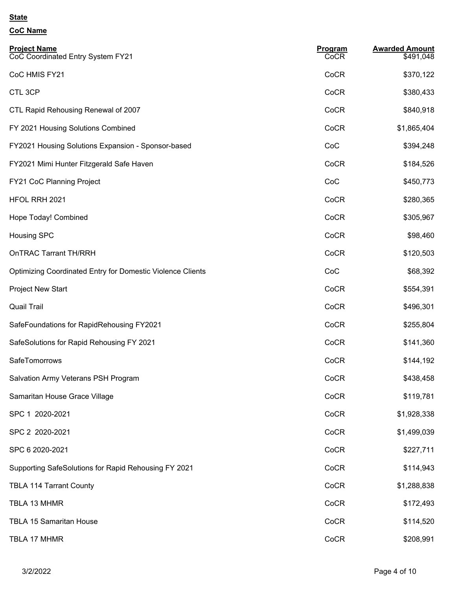| <b>Project Name</b><br>CoC Coordinated Entry System FY21   | <b>Program</b><br>CoCR | <b>Awarded Amount</b><br>\$491,048 |
|------------------------------------------------------------|------------------------|------------------------------------|
| CoC HMIS FY21                                              | CoCR                   | \$370,122                          |
| CTL 3CP                                                    | CoCR                   | \$380,433                          |
| CTL Rapid Rehousing Renewal of 2007                        | CoCR                   | \$840,918                          |
| FY 2021 Housing Solutions Combined                         | CoCR                   | \$1,865,404                        |
| FY2021 Housing Solutions Expansion - Sponsor-based         | CoC                    | \$394,248                          |
| FY2021 Mimi Hunter Fitzgerald Safe Haven                   | CoCR                   | \$184,526                          |
| FY21 CoC Planning Project                                  | CoC                    | \$450,773                          |
| HFOL RRH 2021                                              | CoCR                   | \$280,365                          |
| Hope Today! Combined                                       | CoCR                   | \$305,967                          |
| <b>Housing SPC</b>                                         | CoCR                   | \$98,460                           |
| <b>OnTRAC Tarrant TH/RRH</b>                               | CoCR                   | \$120,503                          |
| Optimizing Coordinated Entry for Domestic Violence Clients | CoC                    | \$68,392                           |
| <b>Project New Start</b>                                   | CoCR                   | \$554,391                          |
| <b>Quail Trail</b>                                         | CoCR                   | \$496,301                          |
| SafeFoundations for RapidRehousing FY2021                  | CoCR                   | \$255,804                          |
| SafeSolutions for Rapid Rehousing FY 2021                  | CoCR                   | \$141,360                          |
| SafeTomorrows                                              | CoCR                   | \$144,192                          |
| Salvation Army Veterans PSH Program                        | CoCR                   | \$438,458                          |
| Samaritan House Grace Village                              | CoCR                   | \$119,781                          |
| SPC 1 2020-2021                                            | CoCR                   | \$1,928,338                        |
| SPC 2 2020-2021                                            | CoCR                   | \$1,499,039                        |
| SPC 6 2020-2021                                            | CoCR                   | \$227,711                          |
| Supporting SafeSolutions for Rapid Rehousing FY 2021       | CoCR                   | \$114,943                          |
| <b>TBLA 114 Tarrant County</b>                             | CoCR                   | \$1,288,838                        |
| TBLA 13 MHMR                                               | CoCR                   | \$172,493                          |
| <b>TBLA 15 Samaritan House</b>                             | CoCR                   | \$114,520                          |
| TBLA 17 MHMR                                               | CoCR                   | \$208,991                          |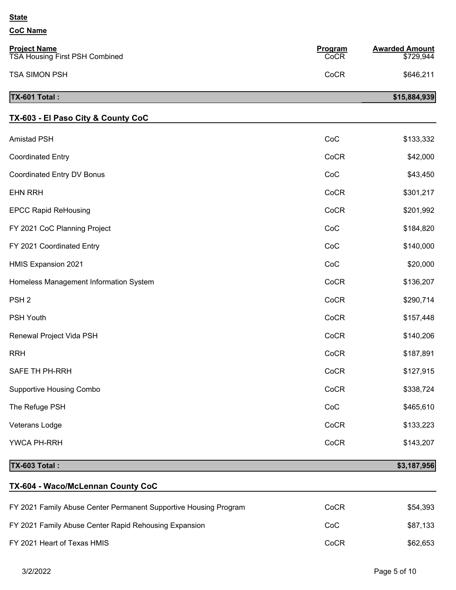#### **CoC Name**

| TX-601 Total:                                                |                        | \$15,884,939                       |
|--------------------------------------------------------------|------------------------|------------------------------------|
| <b>TSA SIMON PSH</b>                                         | CoCR                   | \$646,211                          |
| <b>Project Name</b><br><b>TSA Housing First PSH Combined</b> | <b>Program</b><br>CoCR | <b>Awarded Amount</b><br>\$729,944 |

# **TX-603 - El Paso City & County CoC**

| <b>TX-603 Total:</b>                   |      | \$3,187,956 |
|----------------------------------------|------|-------------|
| YWCA PH-RRH                            | CoCR | \$143,207   |
| Veterans Lodge                         | CoCR | \$133,223   |
| The Refuge PSH                         | CoC  | \$465,610   |
| <b>Supportive Housing Combo</b>        | CoCR | \$338,724   |
| SAFE TH PH-RRH                         | CoCR | \$127,915   |
| <b>RRH</b>                             | CoCR | \$187,891   |
| Renewal Project Vida PSH               | CoCR | \$140,206   |
| PSH Youth                              | CoCR | \$157,448   |
| PSH <sub>2</sub>                       | CoCR | \$290,714   |
| Homeless Management Information System | CoCR | \$136,207   |
| <b>HMIS Expansion 2021</b>             | CoC  | \$20,000    |
| FY 2021 Coordinated Entry              | CoC  | \$140,000   |
| FY 2021 CoC Planning Project           | CoC  | \$184,820   |
| <b>EPCC Rapid ReHousing</b>            | CoCR | \$201,992   |
| <b>EHN RRH</b>                         | CoCR | \$301,217   |
| Coordinated Entry DV Bonus             | CoC  | \$43,450    |
| <b>Coordinated Entry</b>               | CoCR | \$42,000    |
| <b>Amistad PSH</b>                     | CoC  | \$133,332   |

# **TX-604 - Waco/McLennan County CoC**

| FY 2021 Family Abuse Center Permanent Supportive Housing Program | CoCR | \$54.393 |
|------------------------------------------------------------------|------|----------|
| FY 2021 Family Abuse Center Rapid Rehousing Expansion            | CoC  | \$87,133 |
| FY 2021 Heart of Texas HMIS                                      | CoCR | \$62,653 |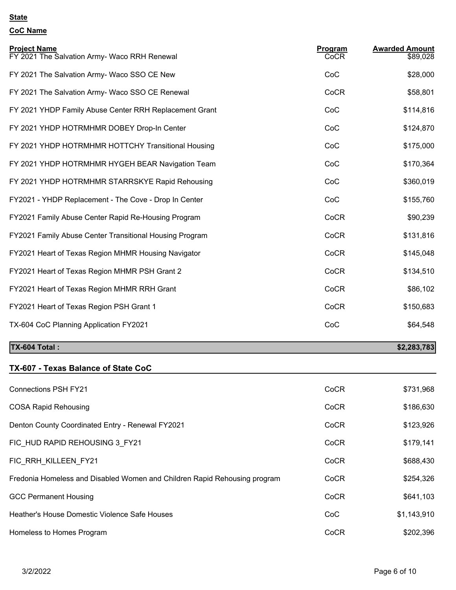# **CoC Name**

| <b>Project Name</b><br>FY 2021 The Salvation Army- Waco RRH Renewal | Program<br>CoCR | <b>Awarded Amount</b><br>\$89,028 |
|---------------------------------------------------------------------|-----------------|-----------------------------------|
| FY 2021 The Salvation Army- Waco SSO CE New                         | CoC             | \$28,000                          |
| FY 2021 The Salvation Army- Waco SSO CE Renewal                     | CoCR            | \$58,801                          |
| FY 2021 YHDP Family Abuse Center RRH Replacement Grant              | CoC             | \$114,816                         |
| FY 2021 YHDP HOTRMHMR DOBEY Drop-In Center                          | CoC             | \$124,870                         |
| FY 2021 YHDP HOTRMHMR HOTTCHY Transitional Housing                  | CoC             | \$175,000                         |
| FY 2021 YHDP HOTRMHMR HYGEH BEAR Navigation Team                    | CoC             | \$170,364                         |
| FY 2021 YHDP HOTRMHMR STARRSKYE Rapid Rehousing                     | CoC             | \$360,019                         |
| FY2021 - YHDP Replacement - The Cove - Drop In Center               | CoC             | \$155,760                         |
| FY2021 Family Abuse Center Rapid Re-Housing Program                 | CoCR            | \$90,239                          |
| FY2021 Family Abuse Center Transitional Housing Program             | CoCR            | \$131,816                         |
| FY2021 Heart of Texas Region MHMR Housing Navigator                 | CoCR            | \$145,048                         |
| FY2021 Heart of Texas Region MHMR PSH Grant 2                       | CoCR            | \$134,510                         |
| FY2021 Heart of Texas Region MHMR RRH Grant                         | CoCR            | \$86,102                          |
| FY2021 Heart of Texas Region PSH Grant 1                            | CoCR            | \$150,683                         |
| TX-604 CoC Planning Application FY2021                              | CoC             | \$64,548                          |

# **TX-604 Total : \$2,283,783**

# **TX-607 - Texas Balance of State CoC**

| <b>Connections PSH FY21</b>                                               | CoCR | \$731,968   |
|---------------------------------------------------------------------------|------|-------------|
| <b>COSA Rapid Rehousing</b>                                               | CoCR | \$186,630   |
| Denton County Coordinated Entry - Renewal FY2021                          | CoCR | \$123,926   |
| FIC HUD RAPID REHOUSING 3 FY21                                            | CoCR | \$179,141   |
| FIC RRH KILLEEN FY21                                                      | CoCR | \$688,430   |
| Fredonia Homeless and Disabled Women and Children Rapid Rehousing program | CoCR | \$254,326   |
| <b>GCC Permanent Housing</b>                                              | CoCR | \$641,103   |
| Heather's House Domestic Violence Safe Houses                             | CoC  | \$1,143,910 |
| Homeless to Homes Program                                                 | CoCR | \$202,396   |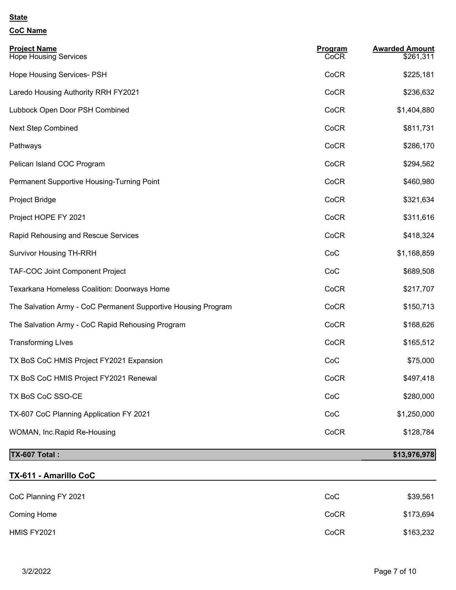## **CoC Name**

| <b>Project Name</b><br><b>Hope Housing Services</b>           | Program<br>CoCR | <b>Awarded Amount</b><br>\$261,311 |
|---------------------------------------------------------------|-----------------|------------------------------------|
|                                                               |                 |                                    |
| Hope Housing Services- PSH                                    | CoCR            | \$225,181                          |
| Laredo Housing Authority RRH FY2021                           | CoCR            | \$236,632                          |
| Lubbock Open Door PSH Combined                                | CoCR            | \$1,404,880                        |
| <b>Next Step Combined</b>                                     | CoCR            | \$811,731                          |
| Pathways                                                      | CoCR            | \$286,170                          |
| Pelican Island COC Program                                    | CoCR            | \$294,562                          |
| Permanent Supportive Housing-Turning Point                    | CoCR            | \$460,980                          |
| Project Bridge                                                | CoCR            | \$321,634                          |
| Project HOPE FY 2021                                          | CoCR            | \$311,616                          |
| Rapid Rehousing and Rescue Services                           | CoCR            | \$418,324                          |
| <b>Survivor Housing TH-RRH</b>                                | CoC             | \$1,168,859                        |
| TAF-COC Joint Component Project                               | CoC             | \$689,508                          |
| Texarkana Homeless Coalition: Doorways Home                   | CoCR            | \$217,707                          |
| The Salvation Army - CoC Permanent Supportive Housing Program | CoCR            | \$150,713                          |
| The Salvation Army - CoC Rapid Rehousing Program              | CoCR            | \$168,626                          |
| <b>Transforming Lives</b>                                     | CoCR            | \$165,512                          |
| TX BoS CoC HMIS Project FY2021 Expansion                      | CoC             | \$75,000                           |
| TX BoS CoC HMIS Project FY2021 Renewal                        | CoCR            | \$497,418                          |
| TX BoS CoC SSO-CE                                             | CoC             | \$280,000                          |
| TX-607 CoC Planning Application FY 2021                       | CoC             | \$1,250,000                        |
| WOMAN, Inc.Rapid Re-Housing                                   | CoCR            | \$128,784                          |
| TX-607 Total:                                                 |                 | \$13,976,978                       |

## **TX-611 - Amarillo CoC**

| CoC Planning FY 2021 | CoC  | \$39,561  |
|----------------------|------|-----------|
| Coming Home          | CoCR | \$173,694 |
| HMIS FY2021          | CoCR | \$163,232 |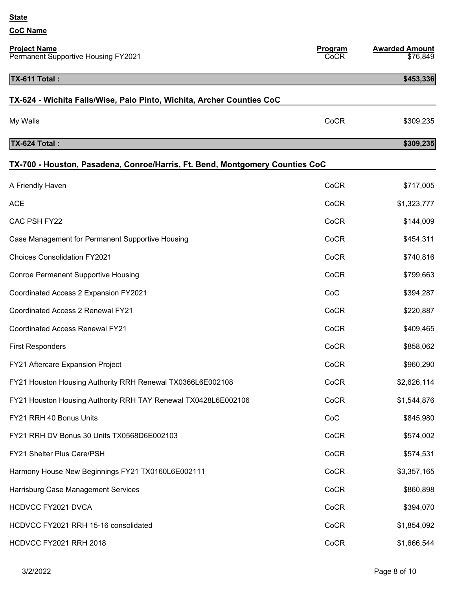| <b>Project Name</b><br>Permanent Supportive Housing FY2021                   | Program<br>CoCR | <b>Awarded Amount</b><br>\$76,849 |
|------------------------------------------------------------------------------|-----------------|-----------------------------------|
| TX-611 Total:                                                                |                 | \$453,336                         |
| TX-624 - Wichita Falls/Wise, Palo Pinto, Wichita, Archer Counties CoC        |                 |                                   |
| My Walls                                                                     | CoCR            | \$309,235                         |
| TX-624 Total:                                                                |                 | \$309,235                         |
| TX-700 - Houston, Pasadena, Conroe/Harris, Ft. Bend, Montgomery Counties CoC |                 |                                   |
| A Friendly Haven                                                             | CoCR            | \$717,005                         |
| <b>ACE</b>                                                                   | CoCR            | \$1,323,777                       |
| CAC PSH FY22                                                                 | CoCR            | \$144,009                         |
| Case Management for Permanent Supportive Housing                             | CoCR            | \$454,311                         |
| <b>Choices Consolidation FY2021</b>                                          | CoCR            | \$740,816                         |
| <b>Conroe Permanent Supportive Housing</b>                                   | CoCR            | \$799,663                         |
| Coordinated Access 2 Expansion FY2021                                        | CoC             | \$394,287                         |
| Coordinated Access 2 Renewal FY21                                            | CoCR            | \$220,887                         |
| <b>Coordinated Access Renewal FY21</b>                                       | CoCR            | \$409,465                         |
| <b>First Responders</b>                                                      | CoCR            | \$858,062                         |
| FY21 Aftercare Expansion Project                                             | CoCR            | \$960,290                         |
| FY21 Houston Housing Authority RRH Renewal TX0366L6E002108                   | CoCR            | \$2,626,114                       |
| FY21 Houston Housing Authority RRH TAY Renewal TX0428L6E002106               | CoCR            | \$1,544,876                       |
| FY21 RRH 40 Bonus Units                                                      | CoC             | \$845,980                         |
| FY21 RRH DV Bonus 30 Units TX0568D6E002103                                   | CoCR            | \$574,002                         |
| FY21 Shelter Plus Care/PSH                                                   | CoCR            | \$574,531                         |
| Harmony House New Beginnings FY21 TX0160L6E002111                            | CoCR            | \$3,357,165                       |
| Harrisburg Case Management Services                                          | CoCR            | \$860,898                         |
| HCDVCC FY2021 DVCA                                                           | CoCR            | \$394,070                         |
| HCDVCC FY2021 RRH 15-16 consolidated                                         | CoCR            | \$1,854,092                       |
| <b>HCDVCC FY2021 RRH 2018</b>                                                | CoCR            | \$1,666,544                       |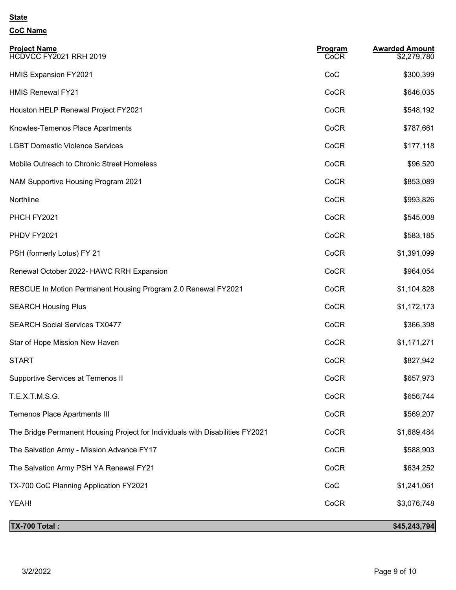| <b>Project Name</b><br>HCDVCC FY2021 RRH 2019                                 | Program<br>CoCR | <b>Awarded Amount</b><br>\$2,279,780 |
|-------------------------------------------------------------------------------|-----------------|--------------------------------------|
| <b>HMIS Expansion FY2021</b>                                                  | CoC             | \$300,399                            |
| <b>HMIS Renewal FY21</b>                                                      | CoCR            | \$646,035                            |
| Houston HELP Renewal Project FY2021                                           | CoCR            | \$548,192                            |
| Knowles-Temenos Place Apartments                                              | CoCR            | \$787,661                            |
| <b>LGBT Domestic Violence Services</b>                                        | CoCR            | \$177,118                            |
| Mobile Outreach to Chronic Street Homeless                                    | CoCR            | \$96,520                             |
| NAM Supportive Housing Program 2021                                           | CoCR            | \$853,089                            |
| Northline                                                                     | CoCR            | \$993,826                            |
| PHCH FY2021                                                                   | CoCR            | \$545,008                            |
| PHDV FY2021                                                                   | CoCR            | \$583,185                            |
| PSH (formerly Lotus) FY 21                                                    | CoCR            | \$1,391,099                          |
| Renewal October 2022- HAWC RRH Expansion                                      | CoCR            | \$964,054                            |
| RESCUE In Motion Permanent Housing Program 2.0 Renewal FY2021                 | CoCR            | \$1,104,828                          |
| <b>SEARCH Housing Plus</b>                                                    | CoCR            | \$1,172,173                          |
| <b>SEARCH Social Services TX0477</b>                                          | CoCR            | \$366,398                            |
| Star of Hope Mission New Haven                                                | CoCR            | \$1,171,271                          |
| <b>START</b>                                                                  | CoCR            | \$827,942                            |
| Supportive Services at Temenos II                                             | CoCR            | \$657,973                            |
| T.E.X.T.M.S.G.                                                                | CoCR            | \$656,744                            |
| <b>Temenos Place Apartments III</b>                                           | CoCR            | \$569,207                            |
| The Bridge Permanent Housing Project for Individuals with Disabilities FY2021 | CoCR            | \$1,689,484                          |
| The Salvation Army - Mission Advance FY17                                     | CoCR            | \$588,903                            |
| The Salvation Army PSH YA Renewal FY21                                        | CoCR            | \$634,252                            |
| TX-700 CoC Planning Application FY2021                                        | CoC             | \$1,241,061                          |
| YEAH!                                                                         | CoCR            | \$3,076,748                          |
| <b>TX-700 Total:</b>                                                          |                 | \$45,243,794]                        |